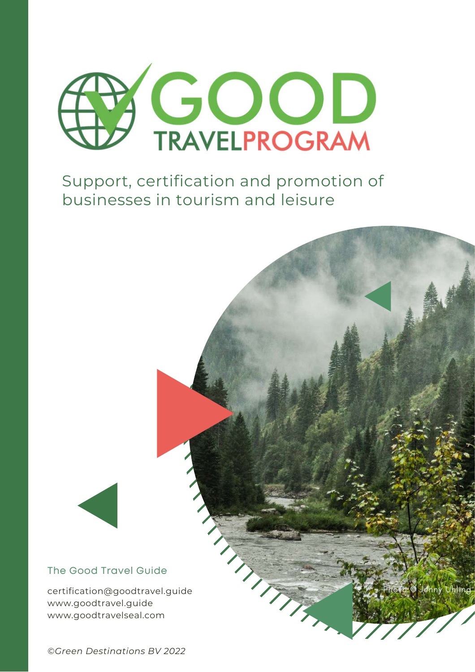

Support, certification and promotion of businesses in tourism and leisure



certification@goodtravel.guide www.goodtravel.guide www.goodtravelseal.com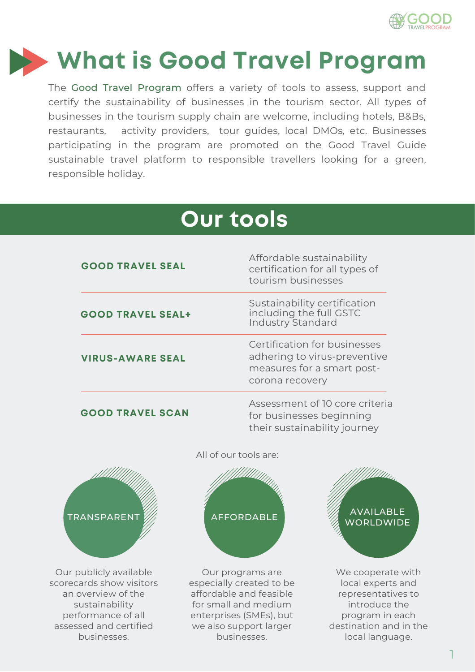

# **What is Good Travel Program**

The Good Travel Program offers a variety of tools to assess, support and certify the sustainability of businesses in the tourism sector. All types of businesses in the tourism supply chain are welcome, including hotels, B&Bs, restaurants, activity providers, tour guides, local DMOs, etc. Businesses participating in the program are promoted on the Good Travel Guide sustainable travel platform to responsible travellers looking for a green, responsible holiday.

# **Our tools**

| <b>GOOD TRAVEL SEAL</b>  | Affordable sustainability<br>certification for all types of<br>tourism businesses                             |
|--------------------------|---------------------------------------------------------------------------------------------------------------|
| <b>GOOD TRAVEL SEAL+</b> | Sustainability certification<br>including the full GSTC<br><b>Industry Standard</b>                           |
| <b>VIRUS-AWARE SEAL</b>  | Certification for businesses<br>adhering to virus-preventive<br>measures for a smart post-<br>corona recovery |
| <b>GOOD TRAVEL SCAN</b>  | Assessment of 10 core criteria<br>for businesses beginning<br>their sustainability journey                    |



Our publicly available scorecards show visitors an overview of the sustainability performance of all assessed and certified businesses.

All of our tools are:



Our programs are especially created to be affordable and feasible for small and medium enterprises (SMEs), but we also support larger businesses.



We cooperate with local experts and representatives to introduce the program in each destination and in the local language.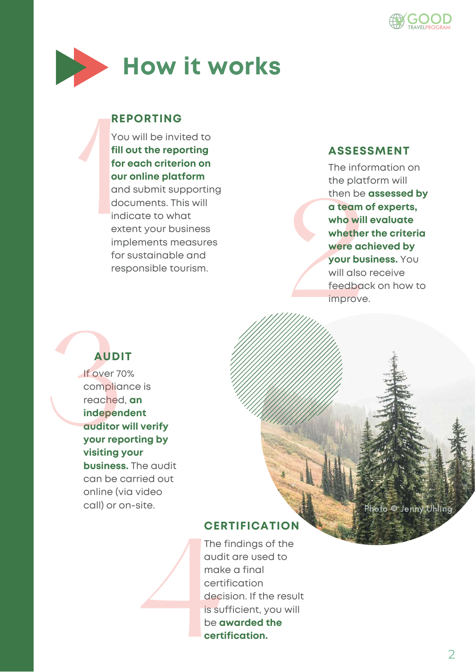



#### **REPORTING**

Yo<br>
fill<br>
for<br>
ou<br>
an<br>
do<br>
inc<br>
ext<br>
im You will be invited to **fill out the reporting for each criterion on our online platform** and submit supporting documents. This will indicate to what extent your business implements measures for sustainable and responsible tourism.

#### **ASSESSMENT**

who will<br>whether<br>were ach<br>your bus<br>will also<br>feedbac<br>improve. The information on the platform will then be **assessed by a team of experts, who will evaluate whether the criteria were achieved by your business.** You will also receive feedback on how to improve.

## **AUDIT**

If over 70% compliance is reached, **an independent auditor will verify your reporting by visiting your business.** The audit can be carried out online (via video call) or on-site. AUDIT<br>
If over 70%<br>
compliand<br>
reached, d<br>
independ<br>
auditor w<br>
your repo<br>
visiting yo

Photo © Jenny Uhling

#### **CERTIFICATION**

The findings of the audit are used to make a final certification decision. If the result is sufficient, you will be **awarded the certification.** audit<br>
make<br>
certif<br>
decis<br>
is suf<br>
be av<br>
certif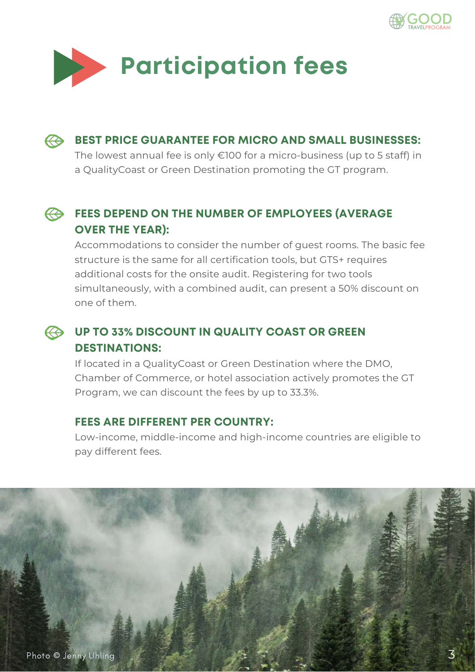



**BEST PRICE GUARANTEE FOR MICRO AND SMALL BUSINESSES:**  $\bm{\bm{\leftrightarrow}}$ 

The lowest annual fee is only €100 for a micro-business (up to 5 staff) in a QualityCoast or Green Destination promoting the GT program.

#### **FEES DEPEND ON THE NUMBER OF EMPLOYEES (AVERAGE OVER THE YEAR):**

Accommodations to consider the number of guest rooms. The basic fee structure is the same for all certification tools, but GTS+ requires additional costs for the onsite audit. Registering for two tools simultaneously, with a combined audit, can present a 50% discount on one of them.

#### **UP TO 33% DISCOUNT IN QUALITY COAST OR GREEN DESTINATIONS:**

If located in a QualityCoast or Green Destination where the DMO, Chamber of Commerce, or hotel association actively promotes the GT Program, we can discount the fees by up to 33.3%.

#### **FEES ARE DIFFERENT PER COUNTRY:**

Low-income, middle-income and high-income countries are eligible to pay different fees.

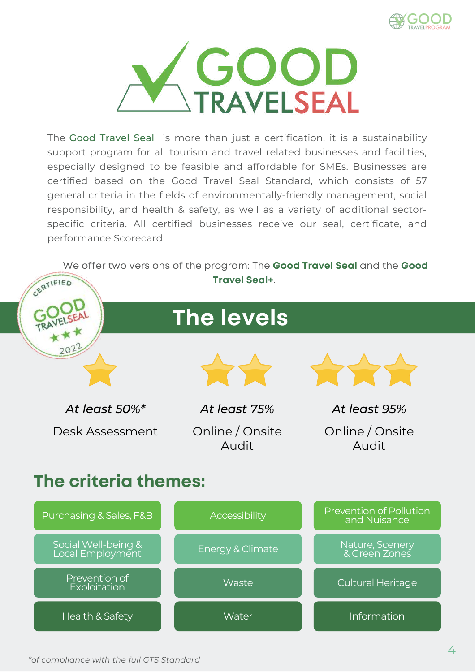



The Good Travel Seal is more than just a certification, it is a sustainability support program for all tourism and travel related businesses and facilities, especially designed to be feasible and affordable for SMEs. Businesses are certified based on the Good Travel Seal Standard, which consists of 57 general criteria in the fields of environmentally-friendly management, social responsibility, and health & safety, as well as a variety of additional sectorspecific criteria. All certified businesses receive our seal, certificate, and performance Scorecard.

We offer two versions of the program: The **Good Travel Seal** and the **Good**



*\*of compliance with the full GTS Standard*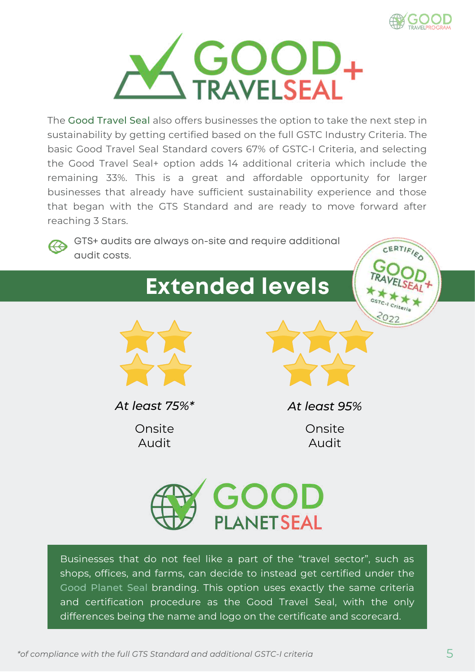

CERTIFIED



The Good Travel Seal also offers businesses the option to take the next step in sustainability by getting certified based on the full GSTC Industry Criteria. The basic Good Travel Seal Standard covers 67% of GSTC-I Criteria, and selecting the Good Travel Seal+ option adds 14 additional criteria which include the remaining 33%. This is a great and affordable opportunity for larger businesses that already have sufficient sustainability experience and those that began with the GTS Standard and are ready to move forward after reaching 3 Stars.



GTS+ audits are always on-site and require additional audit costs.





*At least 75%\* At least 95%*

Onsite Audit

Onsite Audit



Businesses that do not feel like a part of the "travel sector", such as shops, offices, and farms, can decide to instead get certified under the Good Planet Seal branding. This option uses exactly the same criteria and certification procedure as the Good Travel Seal, with the only differences being the name and logo on the certificate and scorecard.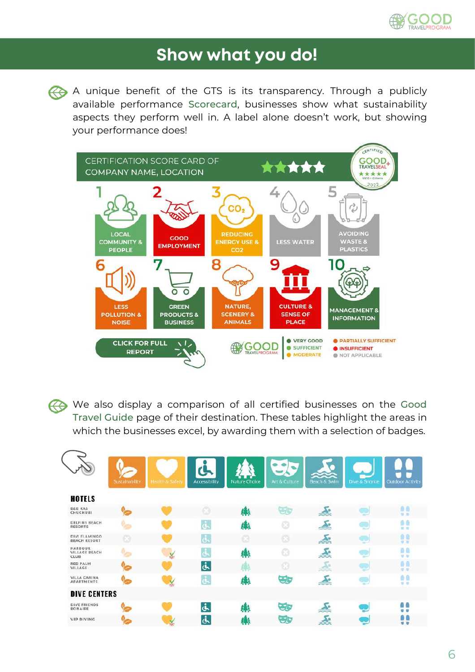

## **Show what you do!**

A unique benefit of the GTS is its transparency. Through a publicly available performance Scorecard, businesses show what sustainability aspects they perform well in. A label alone doesn't work, but showing your performance does!



We also display a comparison of all certified businesses on the Good Travel Guide page of their destination. These tables highlight the areas in which the businesses excel, by awarding them with a selection of badges.

|                                                | Sustainability | Health & Safety | Accessibility | Nature Choice | Art & Culture | Beach & Swim | Dive & Snorkie              | <b>Outdoor Activity</b> |
|------------------------------------------------|----------------|-----------------|---------------|---------------|---------------|--------------|-----------------------------|-------------------------|
| <b>HOTELS</b>                                  |                |                 |               |               |               |              |                             |                         |
| <b>B&amp;B KAS</b><br><b>CHUCHUBI</b>          |                |                 | ø             | 嫩             | 37.           | λe           | <b>COLOR</b><br><b>STEW</b> | 00<br>0.0               |
| <b>DELFINS BEACH</b><br><b>RESORTS</b>         |                |                 | ئى            | 編             |               |              | 53                          | 00<br>$12 - 12$         |
| DIVI FLAMINGO<br><b>BEACH RESORT</b>           | a              |                 | <u>ق</u>      | ø             | ø             | 委            | <b>COLOR</b><br><b>Sec.</b> | a e<br><b>GOD</b>       |
| <b>HARBOUR</b><br><b>VILLAGE BEACH</b><br>CLUB |                |                 | غ             | 琳             | ß             | 委            | a sa                        | ΩG<br>$0 - D$           |
| <b>RED PALM</b><br>VILLAGE                     |                |                 | نج            |               | ø             |              | ×<br>-                      | 00<br>0.0               |
| <b>VILLA CARINA</b><br><b>APARTMENTS</b>       |                |                 | ف             | 纞             | छः            | 念            | <b>William</b>              | 00<br>0.0               |
| <b>DIVE CENTERS</b>                            |                |                 |               |               |               |              |                             |                         |
| <b>DIVE FRIENDS</b><br><b>BONAIRE</b>          |                |                 | نج            | 爀             | ತಾ            |              |                             | 00<br>0 <sub>0</sub>    |
| <b>VIP DIVING</b>                              |                |                 | أرثه          | 綝             | ತಾ            | ≪            |                             | 01<br>0 <sub>0</sub>    |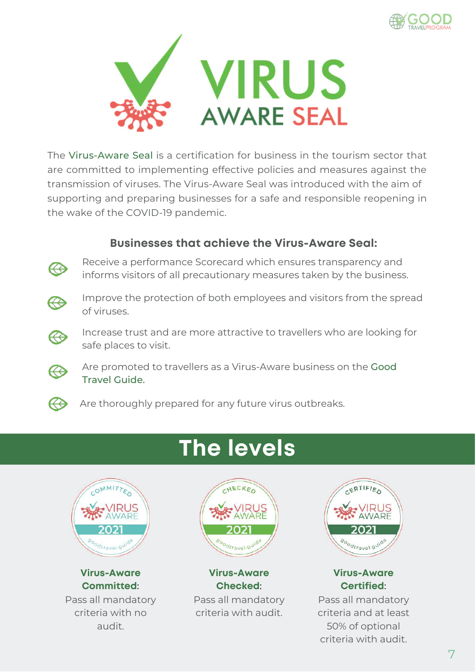



The Virus-Aware Seal is a certification for business in the tourism sector that are committed to implementing effective policies and measures against the transmission of viruses. The Virus-Aware Seal was introduced with the aim of supporting and preparing businesses for a safe and responsible reopening in the wake of the COVID-19 pandemic.

#### **Businesses that achieve the Virus-Aware Seal:**



Receive a performance Scorecard which ensures transparency and informs visitors of all precautionary measures taken by the business.



Æ

Improve the protection of both employees and visitors from the spread of viruses.

Increase trust and are more attractive to travellers who are looking for safe places to visit.



Are promoted to travellers as a Virus-Aware business on the Good Travel Guide.





**Virus-Aware Committed**:

Pass all mandatory criteria with no audit.





#### **Virus-Aware Checked**:

Pass all mandatory criteria with audit.



#### **Virus-Aware Certified**:

Pass all mandatory criteria and at least 50% of optional criteria with audit.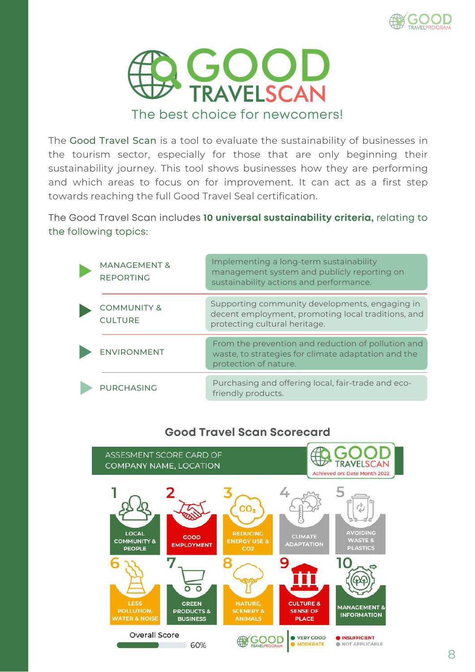



The Good Travel Scan is a tool to evaluate the sustainability of businesses in the tourism sector, especially for those that are only beginning their sustainability journey. This tool shows businesses how they are performing and which areas to focus on for improvement. It can act as a first step towards reaching the full Good Travel Seal certification.

The Good Travel Scan includes **10 universal sustainability criteria,** relating to the following topics:

| <b>MANAGEMENT &amp;</b><br><b>REPORTING</b> | Implementing a long-term sustainability<br>management system and publicly reporting on<br>sustainability actions and performance.     |
|---------------------------------------------|---------------------------------------------------------------------------------------------------------------------------------------|
| <b>COMMUNITY &amp;</b><br><b>CULTURE</b>    | Supporting community developments, engaging in<br>decent employment, promoting local traditions, and<br>protecting cultural heritage. |
| <b>ENVIRONMENT</b>                          | From the prevention and reduction of pollution and<br>waste, to strategies for climate adaptation and the<br>protection of nature.    |
| <b>PURCHASING</b>                           | Purchasing and offering local, fair-trade and eco-<br>friendly products.                                                              |

#### **Good Travel Scan Scorecard**

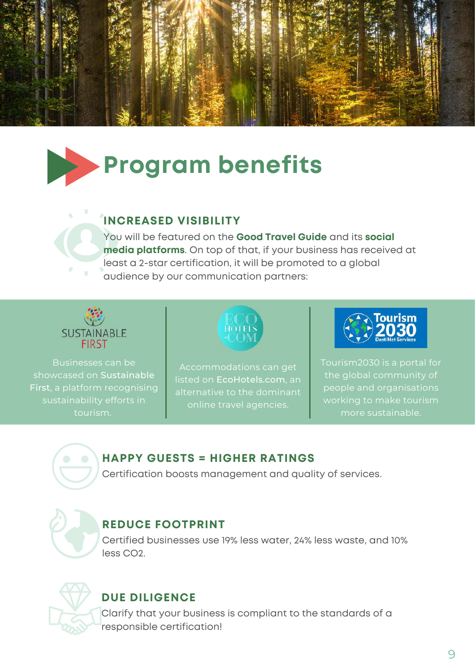

# **Program benefits**

## **INCREASED VISIBILITY**

You will be featured on the **Good Travel Guide** and its **social media platforms**. On top of that, if your business has received at least a 2-star certification, it will be promoted to a global audience by our communication partners:



Businesses can be showcased on Sustainable First, a platform recognising sustainability efforts in



listed on EcoHotels.com, an alternative to the dominant online travel agencies.



people and organisations working to make tourism



#### **HAPPY GUESTS = HIGHER RATINGS**

Certification boosts management and quality of services.



#### **REDUCE FOOTPRINT**

Certified businesses use 19% less water, 24% less waste, and 10% less CO2.



## **DUE DILIGENCE**

Clarify that your business is compliant to the standards of a responsible certification!